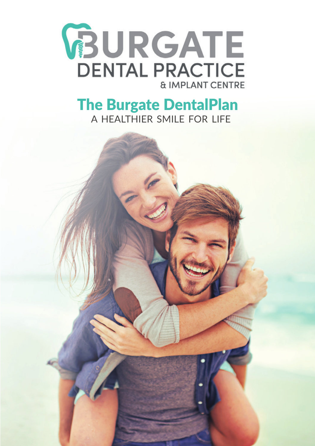

# A HEALTHIER SMILE FOR LIFE The Burgate DentalPlan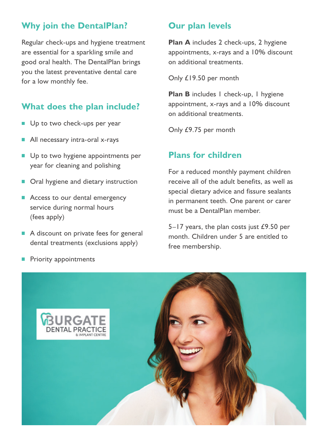# **Why join the DentalPlan?**

Regular check-ups and hygiene treatment are essential for a sparkling smile and good oral health. The DentalPlan brings you the latest preventative dental care for a low monthly fee.

# **What does the plan include?**

- Up to two check-ups per year
- All necessary intra-oral x-rays
- Up to two hygiene appointments per year for cleaning and polishing
- Oral hygiene and dietary instruction
- Access to our dental emergency service during normal hours (fees apply)
- A discount on private fees for general dental treatments (exclusions apply)

### **Our plan levels**

**Plan A** includes 2 check-ups, 2 hygiene appointments, x-rays and a 10% discount on additional treatments.

Only £19.50 per month

**Plan B** includes 1 check-up, 1 hygiene appointment, x-rays and a 10% discount on additional treatments.

Only £9.75 per month

## **Plans for children**

For a reduced monthly payment children receive all of the adult benefits, as well as special dietary advice and fissure sealants in permanent teeth. One parent or carer must be a DentalPlan member.

5–17 years, the plan costs just £9.50 per month. Children under 5 are entitled to free membership.



**Priority appointments**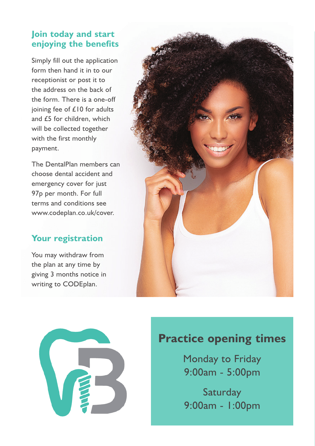# **Join today and start enjoying the benefits**

Simply fill out the application form then hand it in to our receptionist or post it to the address on the back of the form. There is a one-off joining fee of £10 for adults and £5 for children, which will be collected together with the first monthly payment.

The DentalPlan members can choose dental accident and emergency cover for just 97p per month. For full terms and conditions see www.codeplan.co.uk/cover.

# **Your registration**

You may withdraw from the plan at any time by giving 3 months notice in writing to CODEplan.





# **Practice opening times**

Monday to Friday 9:00am - 5:00pm

**Saturday** 9:00am - 1:00pm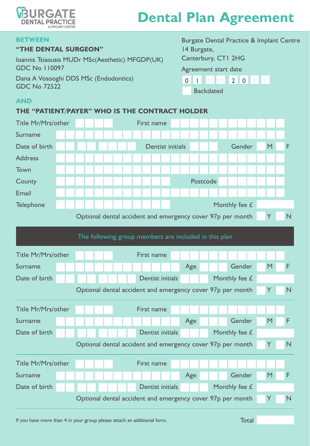

# **Dental Plan Agreement**

#### **BETWEEN**

#### **"THE DENTAL SURGEON"**

Ioannis Tsiaousis MUDr MSc(Aesthetic) MFGDP(UK) GDC No 110097 Dana A Vosooghi DDS MSc (Endodontics) GDC No 72522

Burgate Dental Practice & Implant Centre 14 Burgate, Canterbury, CT1 2HG Agreement start date

| О |  | $\epsilon$ |  |  |
|---|--|------------|--|--|
|   |  |            |  |  |

Backdated

### **AND**

#### **THE "PATIENT/PAYER" WHO IS THE CONTRACT HOLDER**

| Title Mr/Mrs/other                                         | First name                                                 |   |                |  |  |  |  |  |  |  |
|------------------------------------------------------------|------------------------------------------------------------|---|----------------|--|--|--|--|--|--|--|
| Surname                                                    |                                                            |   |                |  |  |  |  |  |  |  |
| Date of birth                                              | Gender<br>M<br>Dentist initials                            | M | F              |  |  |  |  |  |  |  |
| <b>Address</b>                                             |                                                            |   |                |  |  |  |  |  |  |  |
| Town                                                       |                                                            |   |                |  |  |  |  |  |  |  |
| County                                                     | Postcode                                                   |   |                |  |  |  |  |  |  |  |
| Email                                                      |                                                            |   |                |  |  |  |  |  |  |  |
| Telephone                                                  | Monthly fee £                                              |   |                |  |  |  |  |  |  |  |
| Optional dental accident and emergency cover 97p per month |                                                            |   |                |  |  |  |  |  |  |  |
|                                                            |                                                            |   |                |  |  |  |  |  |  |  |
|                                                            | The following group members are included in this plan      |   |                |  |  |  |  |  |  |  |
| Title Mr/Mrs/other<br>First name                           |                                                            |   |                |  |  |  |  |  |  |  |
| Surname                                                    | Gender<br>Age                                              | M | F              |  |  |  |  |  |  |  |
| Date of birth                                              | Dentist initials<br>Monthly fee £                          |   |                |  |  |  |  |  |  |  |
|                                                            | Optional dental accident and emergency cover 97p per month | Y | $\overline{N}$ |  |  |  |  |  |  |  |
| Title Mr/Mrs/other                                         | First name                                                 |   |                |  |  |  |  |  |  |  |
| Surname                                                    | Gender<br>Age                                              | M | F              |  |  |  |  |  |  |  |
| Date of birth                                              | Dentist initials<br>Monthly fee £                          |   |                |  |  |  |  |  |  |  |
|                                                            | Optional dental accident and emergency cover 97p per month | Y | $\overline{N}$ |  |  |  |  |  |  |  |
| Title Mr/Mrs/other                                         | First name                                                 |   |                |  |  |  |  |  |  |  |
| Surname                                                    | Gender<br>Age                                              | M | F              |  |  |  |  |  |  |  |
| Date of birth                                              | Dentist initials<br>Monthly fee £                          |   |                |  |  |  |  |  |  |  |
|                                                            | Optional dental accident and emergency cover 97p per month | Y | $\overline{N}$ |  |  |  |  |  |  |  |

If you have more than 4 in your group please attach an additional form. Total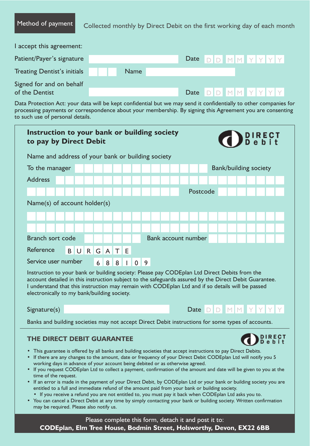Method of payment Collected monthly by Direct Debit on the first working day of each month

| I accept this agreement:                   |             |  |                        |  |  |
|--------------------------------------------|-------------|--|------------------------|--|--|
| Patient/Payer's signature                  |             |  | Date $D D M M Y Y Y Y$ |  |  |
| Treating Dentist's initials                | <b>Name</b> |  |                        |  |  |
| Signed for and on behalf<br>of the Dentist |             |  | Date $D D M M Y Y Y Y$ |  |  |
|                                            |             |  |                        |  |  |

Data Protection Act: your data will be kept confidential but we may send it confidentially to other companies for processing payments or correspondence about your membership. By signing this Agreement you are consenting to such use of personal details.

| Instruction to your bank or building society<br>to pay by Direct Debit<br>Name and address of your bank or building society<br>To the manager<br><b>Address</b><br>Postcode<br>Name(s) of account holder(s)<br>Branch sort code<br><b>Bank account number</b><br>Reference<br>$\mathsf{G}$<br>T<br><b>BUR</b><br>$\mathsf{A}$<br>E<br>Service user number<br>0<br>6<br>8<br>8<br>9<br>Instruction to your bank or building society: Please pay CODEplan Ltd Direct Debits from the<br>account detailed in this instruction subject to the safeguards assured by the Direct Debit Guarantee.<br>I understand that this instruction may remain with CODEplan Ltd and if so details will be passed<br>electronically to my bank/building society.<br>Date $D$ $D$ $M$ $M$ $Y$ $Y$ $Y$<br>Signature(s)<br>Banks and building societies may not accept Direct Debit instructions for some types of accounts.<br>THE DIRECT DEBIT GUARANTEE<br>• This guarantee is offered by all banks and building societies that accept instructions to pay Direct Debits.<br>• If there are any changes to the amount, date or frequency of your Direct Debit CODEplan Ltd will notify you 5<br>working days in advance of your account being debited or as otherwise agreed.<br>• If you request CODEplan Ltd to collect a payment, confirmation of the amount and date will be given to you at the<br>time of the request.<br>• If an error is made in the payment of your Direct Debit, by CODEplan Ltd or your bank or building society you are<br>entitled to a full and immediate refund of the amount paid from your bank or building society.<br>• If you receive a refund you are not entitled to, you must pay it back when CODEplan Ltd asks you to.<br>• You can cancel a Direct Debit at any time by simply contacting your bank or building society. Written confirmation<br>may be required. Please also notify us. | <b>Bank/building society</b> |  |  |  |  |  |  |  |  |  |  |  |  |  |  |
|------------------------------------------------------------------------------------------------------------------------------------------------------------------------------------------------------------------------------------------------------------------------------------------------------------------------------------------------------------------------------------------------------------------------------------------------------------------------------------------------------------------------------------------------------------------------------------------------------------------------------------------------------------------------------------------------------------------------------------------------------------------------------------------------------------------------------------------------------------------------------------------------------------------------------------------------------------------------------------------------------------------------------------------------------------------------------------------------------------------------------------------------------------------------------------------------------------------------------------------------------------------------------------------------------------------------------------------------------------------------------------------------------------------------------------------------------------------------------------------------------------------------------------------------------------------------------------------------------------------------------------------------------------------------------------------------------------------------------------------------------------------------------------------------------------------------------------------------------------------------------------------------------------------|------------------------------|--|--|--|--|--|--|--|--|--|--|--|--|--|--|
|                                                                                                                                                                                                                                                                                                                                                                                                                                                                                                                                                                                                                                                                                                                                                                                                                                                                                                                                                                                                                                                                                                                                                                                                                                                                                                                                                                                                                                                                                                                                                                                                                                                                                                                                                                                                                                                                                                                  |                              |  |  |  |  |  |  |  |  |  |  |  |  |  |  |
|                                                                                                                                                                                                                                                                                                                                                                                                                                                                                                                                                                                                                                                                                                                                                                                                                                                                                                                                                                                                                                                                                                                                                                                                                                                                                                                                                                                                                                                                                                                                                                                                                                                                                                                                                                                                                                                                                                                  |                              |  |  |  |  |  |  |  |  |  |  |  |  |  |  |
|                                                                                                                                                                                                                                                                                                                                                                                                                                                                                                                                                                                                                                                                                                                                                                                                                                                                                                                                                                                                                                                                                                                                                                                                                                                                                                                                                                                                                                                                                                                                                                                                                                                                                                                                                                                                                                                                                                                  |                              |  |  |  |  |  |  |  |  |  |  |  |  |  |  |
|                                                                                                                                                                                                                                                                                                                                                                                                                                                                                                                                                                                                                                                                                                                                                                                                                                                                                                                                                                                                                                                                                                                                                                                                                                                                                                                                                                                                                                                                                                                                                                                                                                                                                                                                                                                                                                                                                                                  |                              |  |  |  |  |  |  |  |  |  |  |  |  |  |  |
|                                                                                                                                                                                                                                                                                                                                                                                                                                                                                                                                                                                                                                                                                                                                                                                                                                                                                                                                                                                                                                                                                                                                                                                                                                                                                                                                                                                                                                                                                                                                                                                                                                                                                                                                                                                                                                                                                                                  |                              |  |  |  |  |  |  |  |  |  |  |  |  |  |  |
|                                                                                                                                                                                                                                                                                                                                                                                                                                                                                                                                                                                                                                                                                                                                                                                                                                                                                                                                                                                                                                                                                                                                                                                                                                                                                                                                                                                                                                                                                                                                                                                                                                                                                                                                                                                                                                                                                                                  |                              |  |  |  |  |  |  |  |  |  |  |  |  |  |  |
|                                                                                                                                                                                                                                                                                                                                                                                                                                                                                                                                                                                                                                                                                                                                                                                                                                                                                                                                                                                                                                                                                                                                                                                                                                                                                                                                                                                                                                                                                                                                                                                                                                                                                                                                                                                                                                                                                                                  |                              |  |  |  |  |  |  |  |  |  |  |  |  |  |  |
|                                                                                                                                                                                                                                                                                                                                                                                                                                                                                                                                                                                                                                                                                                                                                                                                                                                                                                                                                                                                                                                                                                                                                                                                                                                                                                                                                                                                                                                                                                                                                                                                                                                                                                                                                                                                                                                                                                                  |                              |  |  |  |  |  |  |  |  |  |  |  |  |  |  |
|                                                                                                                                                                                                                                                                                                                                                                                                                                                                                                                                                                                                                                                                                                                                                                                                                                                                                                                                                                                                                                                                                                                                                                                                                                                                                                                                                                                                                                                                                                                                                                                                                                                                                                                                                                                                                                                                                                                  |                              |  |  |  |  |  |  |  |  |  |  |  |  |  |  |
|                                                                                                                                                                                                                                                                                                                                                                                                                                                                                                                                                                                                                                                                                                                                                                                                                                                                                                                                                                                                                                                                                                                                                                                                                                                                                                                                                                                                                                                                                                                                                                                                                                                                                                                                                                                                                                                                                                                  |                              |  |  |  |  |  |  |  |  |  |  |  |  |  |  |
|                                                                                                                                                                                                                                                                                                                                                                                                                                                                                                                                                                                                                                                                                                                                                                                                                                                                                                                                                                                                                                                                                                                                                                                                                                                                                                                                                                                                                                                                                                                                                                                                                                                                                                                                                                                                                                                                                                                  |                              |  |  |  |  |  |  |  |  |  |  |  |  |  |  |
|                                                                                                                                                                                                                                                                                                                                                                                                                                                                                                                                                                                                                                                                                                                                                                                                                                                                                                                                                                                                                                                                                                                                                                                                                                                                                                                                                                                                                                                                                                                                                                                                                                                                                                                                                                                                                                                                                                                  |                              |  |  |  |  |  |  |  |  |  |  |  |  |  |  |
|                                                                                                                                                                                                                                                                                                                                                                                                                                                                                                                                                                                                                                                                                                                                                                                                                                                                                                                                                                                                                                                                                                                                                                                                                                                                                                                                                                                                                                                                                                                                                                                                                                                                                                                                                                                                                                                                                                                  |                              |  |  |  |  |  |  |  |  |  |  |  |  |  |  |